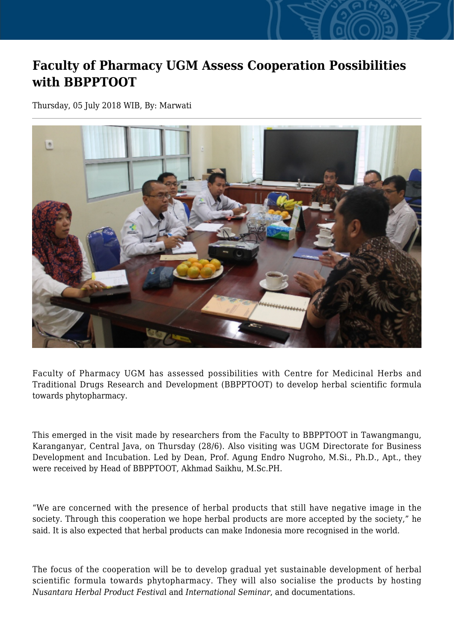## **Faculty of Pharmacy UGM Assess Cooperation Possibilities with BBPPTOOT**

Thursday, 05 July 2018 WIB, By: Marwati



Faculty of Pharmacy UGM has assessed possibilities with Centre for Medicinal Herbs and Traditional Drugs Research and Development (BBPPTOOT) to develop herbal scientific formula towards phytopharmacy.

This emerged in the visit made by researchers from the Faculty to BBPPTOOT in Tawangmangu, Karanganyar, Central Java, on Thursday (28/6). Also visiting was UGM Directorate for Business Development and Incubation. Led by Dean, Prof. Agung Endro Nugroho, M.Si., Ph.D., Apt., they were received by Head of BBPPTOOT, Akhmad Saikhu, M.Sc.PH.

"We are concerned with the presence of herbal products that still have negative image in the society. Through this cooperation we hope herbal products are more accepted by the society," he said. It is also expected that herbal products can make Indonesia more recognised in the world.

The focus of the cooperation will be to develop gradual yet sustainable development of herbal scientific formula towards phytopharmacy. They will also socialise the products by hosting *Nusantara Herbal Product Festiva*l and *International Seminar*, and documentations.